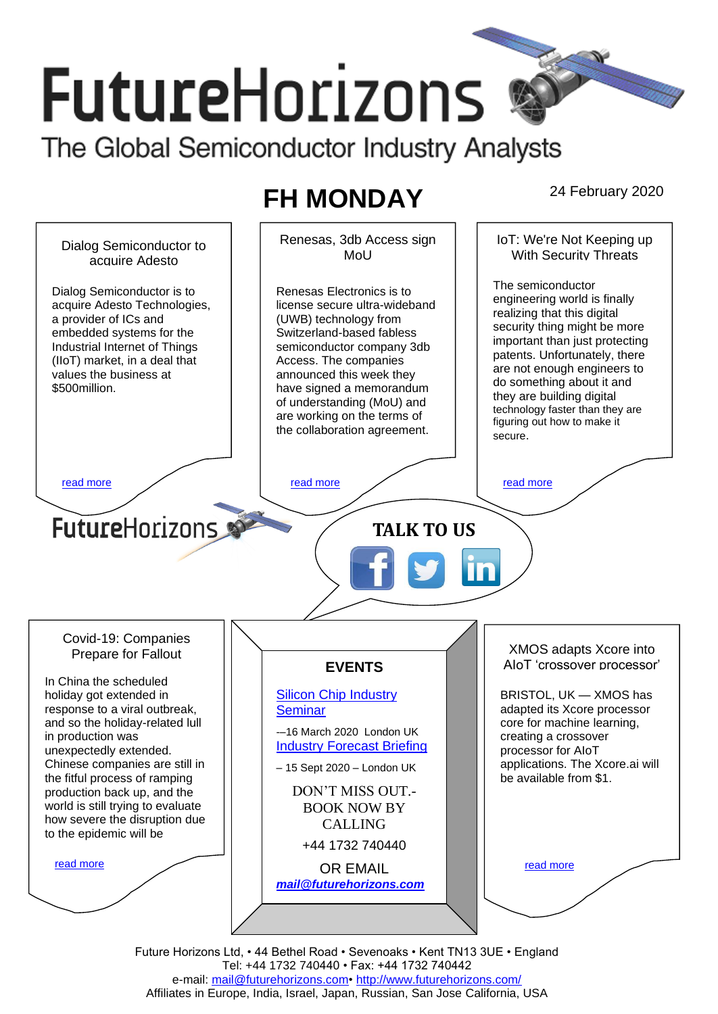# **FutureHorizons** The Global Semiconductor Industry Analysts

## **FH MONDAY** 24 February 2020

Renesas, 3db Access sign IoT: We're Not Keeping up Dialog Semiconductor to With Security Threats MoU acquire Adesto The semiconductor Dialog Semiconductor is to Renesas Electronics is to engineering world is finally acquire Adesto Technologies, license secure ultra-wideband realizing that this digital a provider of ICs and (UWB) technology from security thing might be more embedded systems for the Switzerland-based fabless important than just protecting Industrial Internet of Things semiconductor company 3db patents. Unfortunately, there (IIoT) market, in a deal that Access. The companies are not enough engineers to values the business at announced this week they do something about it and \$500million. have signed a memorandum they are building digital of understanding (MoU) and technology faster than they are are working on the terms of figuring out how to make it the collaboration agreement. secure. [read more](#page-1-1) that the second contract the second contract of the read more that the read more that the read more **Future**Horizons **TALK TO US** Covid-19: Companies XMOS adapts Xcore into Prepare for Fallout AIoT 'crossover processor' **EVENTS** In China the scheduled [Silicon Chip Industry](http://www.futurehorizons.com/page/12/silicon-chip-training)  BRISTOL, UK — XMOS has holiday got extended in response to a viral outbreak, **[Seminar](http://www.futurehorizons.com/page/12/silicon-chip-training)** adapted its Xcore processor and so the holiday-related lull core for machine learning, -–16 March 2020 London UK in production was creating a crossover [Industry Forecast Briefing](http://www.futurehorizons.com/page/13/Semiconductor-Market-Forecast-Seminar) unexpectedly extended. processor for AIoT Chinese companies are still in applications. The Xcore.ai will – 15 Sept 2020 – London UK the fitful process of ramping be available from \$1. production back up, and the DON'T MISS OUT. world is still trying to evaluate BOOK NOW BY how severe the disruption due CALLING to the epidemic will be+44 1732 740440 [read more](#page-1-3) [read more](#page-1-4) OR EMAIL *[mail@futurehorizons.com](mailto:mail@futurehorizons.com)*

> Future Horizons Ltd, • 44 Bethel Road • Sevenoaks • Kent TN13 3UE • England Tel: +44 1732 740440 • Fax: +44 1732 740442 e-mail: [mail@futurehorizons.com•](../FH%20Monday%20-%202017/mail@futurehorizons.com)<http://www.futurehorizons.com/> Affiliates in Europe, India, Israel, Japan, Russian, San Jose California, USA